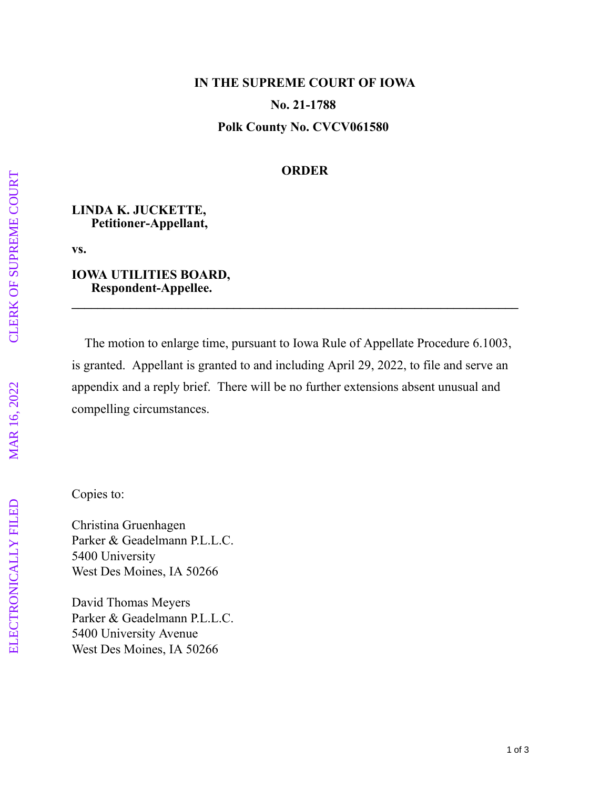# **IN THE SUPREME COURT OF IOWA No. 21-1788 Polk County No. CVCV061580**

## **ORDER**

#### **LINDA K. JUCKETTE, Petitioner-Appellant,**

**vs.**

#### **IOWA UTILITIES BOARD, Respondent-Appellee.**

 The motion to enlarge time, pursuant to Iowa Rule of Appellate Procedure 6.1003, is granted. Appellant is granted to and including April 29, 2022, to file and serve an appendix and a reply brief. There will be no further extensions absent unusual and compelling circumstances.

**\_\_\_\_\_\_\_\_\_\_\_\_\_\_\_\_\_\_\_\_\_\_\_\_\_\_\_\_\_\_\_\_\_\_\_\_\_\_\_\_\_\_\_\_\_\_\_\_\_\_\_\_\_\_\_\_\_\_\_\_\_\_\_\_\_\_\_\_\_**

Copies to:

Christina Gruenhagen Parker & Geadelmann P.L.L.C. 5400 University West Des Moines, IA 50266

David Thomas Meyers Parker & Geadelmann P.L.L.C. 5400 University Avenue West Des Moines, IA 50266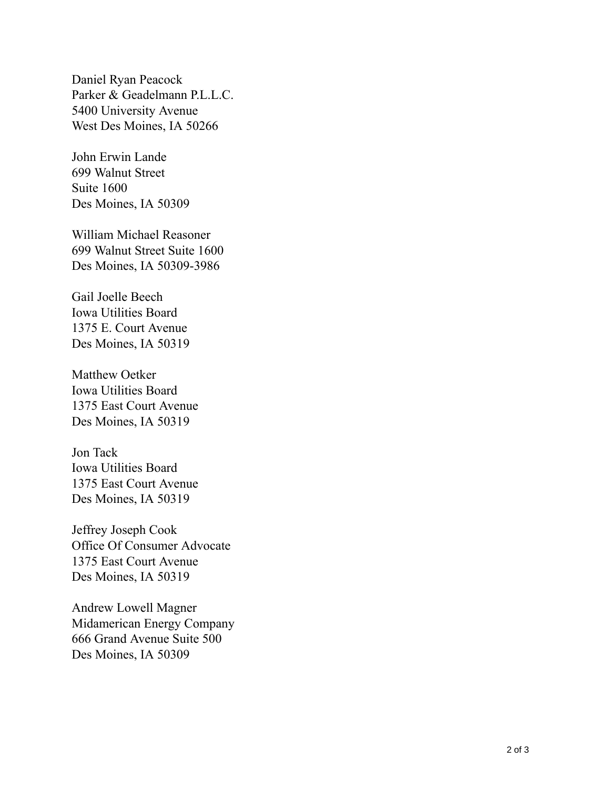Daniel Ryan Peacock Parker & Geadelmann P.L.L.C. 5400 University Avenue West Des Moines, IA 50266

John Erwin Lande 699 Walnut Street Suite 1600 Des Moines, IA 50309

William Michael Reasoner 699 Walnut Street Suite 1600 Des Moines, IA 50309-3986

Gail Joelle Beech Iowa Utilities Board 1375 E. Court Avenue Des Moines, IA 50319

Matthew Oetker Iowa Utilities Board 1375 East Court Avenue Des Moines, IA 50319

Jon Tack Iowa Utilities Board 1375 East Court Avenue Des Moines, IA 50319

Jeffrey Joseph Cook Office Of Consumer Advocate 1375 East Court Avenue Des Moines, IA 50319

Andrew Lowell Magner Midamerican Energy Company 666 Grand Avenue Suite 500 Des Moines, IA 50309